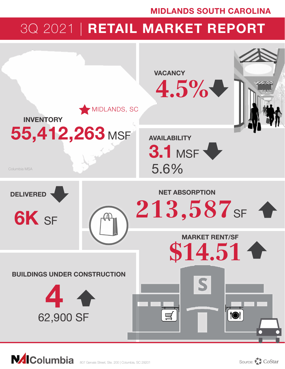### MIDLANDS SOUTH CAROLINA

# 3Q 2021 | RETAIL MARKET REPORT



**NAIColumbia**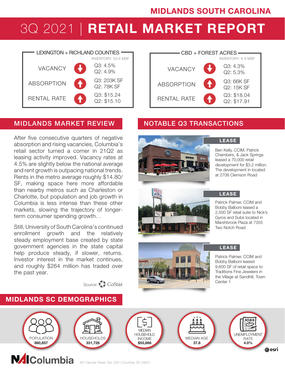# 3Q 2021 | RETAIL MARKET REPORT



### MIDLANDS MARKET REVIEW NOTABLE Q3 TRANSACTIONS

After five consecutive quarters of negative absorption and rising vacancies, Columbia's retail sector turned a corner in 21Q2 as leasing activity improved. Vacancy rates at 4.5% are slightly below the national average and rent growth is outpacing national trends. Rents in the metro average roughly \$14.80/ SF, making space here more affordable than nearby metros such as Charleston or Charlotte, but population and job growth in Columbia is less intense than these other markets, slowing the trajectory of longerterm consumer spending growth. .

Still, University of South Carolina's continued enrollment growth and the relatively steady employment base created by state government agencies in the state capital help produce steady, if slower, returns. Investor interest in the market continues, and roughly \$264 million has traded over the past year.

MIDLANDS SC DEMOGRAPHICS

Source: CoStar

#### RENTAL RATE ABSORPTION Q3: \$18.04 Q2: \$17.91 Q3: 66K SF Q2: 15K SF Q3: 4.3% VACANCY  $Q2: 5.3\%$ CBD + FOREST ACRES INVENTORY: 50.6 MSF INVENTORY: 6.9 MSF





Ben Kelly, CCIM, Patrick Chambers, & Jack Springs leased a 70,000 retail development for \$3.2 million. The development in located at 2708 Clemson Road



#### LEASE

Patrick Palmer, CCIM and Bobby Balboni leased a 2,500 SF retail suite to Nick's Gyros and Subs located in Marshbrook Plaza at 7355 Two Notch Road



#### LEASE

Patrick Palmer, CCIM and Bobby Balboni leased 9,600 SF of retail space to Traditions Fine Jewelers in the Village at Sandhill, Town Center 1